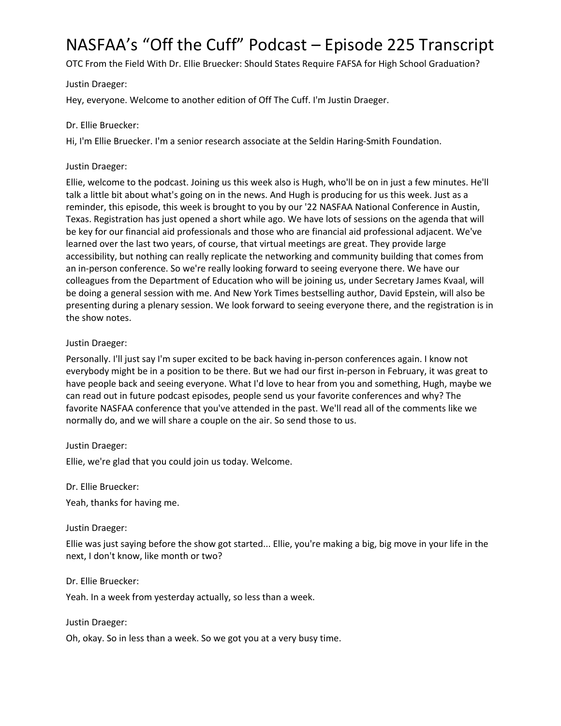# NASFAA's "Off the Cuff" Podcast – Episode 225 Transcript

OTC From the Field With Dr. Ellie Bruecker: Should States Require FAFSA for High School Graduation?

Justin Draeger:

Hey, everyone. Welcome to another edition of Off The Cuff. I'm Justin Draeger.

## Dr. Ellie Bruecker:

Hi, I'm Ellie Bruecker. I'm a senior research associate at the Seldin Haring-Smith Foundation.

#### Justin Draeger:

Ellie, welcome to the podcast. Joining us this week also is Hugh, who'll be on in just a few minutes. He'll talk a little bit about what's going on in the news. And Hugh is producing for us this week. Just as a reminder, this episode, this week is brought to you by our '22 NASFAA National Conference in Austin, Texas. Registration has just opened a short while ago. We have lots of sessions on the agenda that will be key for our financial aid professionals and those who are financial aid professional adjacent. We've learned over the last two years, of course, that virtual meetings are great. They provide large accessibility, but nothing can really replicate the networking and community building that comes from an in-person conference. So we're really looking forward to seeing everyone there. We have our colleagues from the Department of Education who will be joining us, under Secretary James Kvaal, will be doing a general session with me. And New York Times bestselling author, David Epstein, will also be presenting during a plenary session. We look forward to seeing everyone there, and the registration is in the show notes.

## Justin Draeger:

Personally. I'll just say I'm super excited to be back having in-person conferences again. I know not everybody might be in a position to be there. But we had our first in-person in February, it was great to have people back and seeing everyone. What I'd love to hear from you and something, Hugh, maybe we can read out in future podcast episodes, people send us your favorite conferences and why? The favorite NASFAA conference that you've attended in the past. We'll read all of the comments like we normally do, and we will share a couple on the air. So send those to us.

## Justin Draeger:

Ellie, we're glad that you could join us today. Welcome.

#### Dr. Ellie Bruecker:

Yeah, thanks for having me.

## Justin Draeger:

Ellie was just saying before the show got started... Ellie, you're making a big, big move in your life in the next, I don't know, like month or two?

#### Dr. Ellie Bruecker:

Yeah. In a week from yesterday actually, so less than a week.

#### Justin Draeger:

Oh, okay. So in less than a week. So we got you at a very busy time.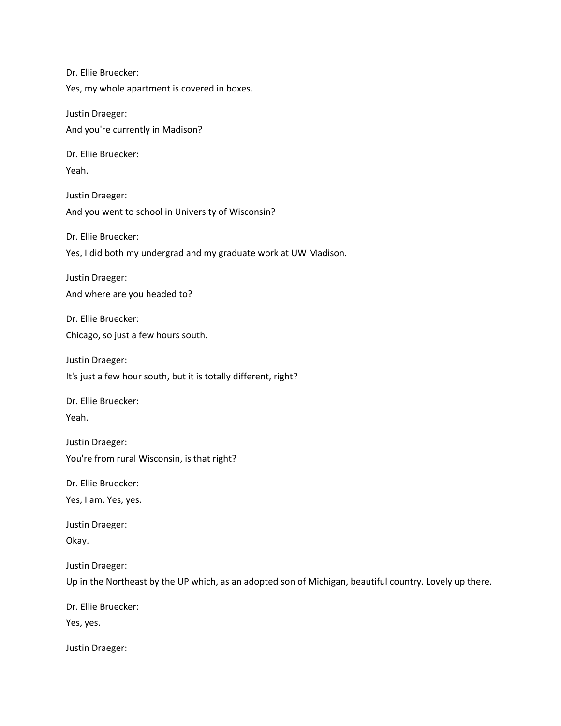Dr. Ellie Bruecker: Yes, my whole apartment is covered in boxes. Justin Draeger: And you're currently in Madison? Dr. Ellie Bruecker: Yeah. Justin Draeger: And you went to school in University of Wisconsin? Dr. Ellie Bruecker: Yes, I did both my undergrad and my graduate work at UW Madison. Justin Draeger: And where are you headed to? Dr. Ellie Bruecker: Chicago, so just a few hours south. Justin Draeger: It's just a few hour south, but it is totally different, right? Dr. Ellie Bruecker: Yeah. Justin Draeger: You're from rural Wisconsin, is that right? Dr. Ellie Bruecker: Yes, I am. Yes, yes. Justin Draeger: Okay. Justin Draeger: Up in the Northeast by the UP which, as an adopted son of Michigan, beautiful country. Lovely up there. Dr. Ellie Bruecker: Yes, yes. Justin Draeger: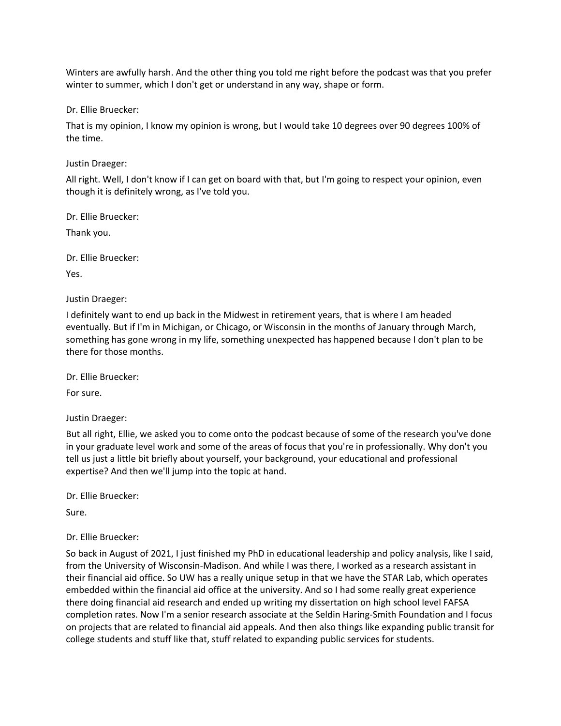Winters are awfully harsh. And the other thing you told me right before the podcast was that you prefer winter to summer, which I don't get or understand in any way, shape or form.

Dr. Ellie Bruecker:

That is my opinion, I know my opinion is wrong, but I would take 10 degrees over 90 degrees 100% of the time.

Justin Draeger:

All right. Well, I don't know if I can get on board with that, but I'm going to respect your opinion, even though it is definitely wrong, as I've told you.

Dr. Ellie Bruecker:

Thank you.

Dr. Ellie Bruecker:

Yes.

Justin Draeger:

I definitely want to end up back in the Midwest in retirement years, that is where I am headed eventually. But if I'm in Michigan, or Chicago, or Wisconsin in the months of January through March, something has gone wrong in my life, something unexpected has happened because I don't plan to be there for those months.

Dr. Ellie Bruecker:

For sure.

Justin Draeger:

But all right, Ellie, we asked you to come onto the podcast because of some of the research you've done in your graduate level work and some of the areas of focus that you're in professionally. Why don't you tell us just a little bit briefly about yourself, your background, your educational and professional expertise? And then we'll jump into the topic at hand.

Dr. Ellie Bruecker:

Sure.

## Dr. Ellie Bruecker:

So back in August of 2021, I just finished my PhD in educational leadership and policy analysis, like I said, from the University of Wisconsin-Madison. And while I was there, I worked as a research assistant in their financial aid office. So UW has a really unique setup in that we have the STAR Lab, which operates embedded within the financial aid office at the university. And so I had some really great experience there doing financial aid research and ended up writing my dissertation on high school level FAFSA completion rates. Now I'm a senior research associate at the Seldin Haring-Smith Foundation and I focus on projects that are related to financial aid appeals. And then also things like expanding public transit for college students and stuff like that, stuff related to expanding public services for students.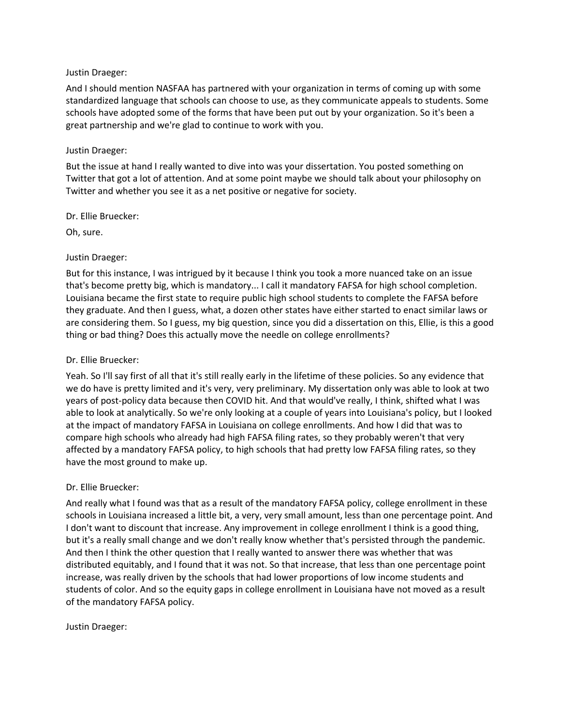#### Justin Draeger:

And I should mention NASFAA has partnered with your organization in terms of coming up with some standardized language that schools can choose to use, as they communicate appeals to students. Some schools have adopted some of the forms that have been put out by your organization. So it's been a great partnership and we're glad to continue to work with you.

#### Justin Draeger:

But the issue at hand I really wanted to dive into was your dissertation. You posted something on Twitter that got a lot of attention. And at some point maybe we should talk about your philosophy on Twitter and whether you see it as a net positive or negative for society.

#### Dr. Ellie Bruecker:

Oh, sure.

## Justin Draeger:

But for this instance, I was intrigued by it because I think you took a more nuanced take on an issue that's become pretty big, which is mandatory... I call it mandatory FAFSA for high school completion. Louisiana became the first state to require public high school students to complete the FAFSA before they graduate. And then I guess, what, a dozen other states have either started to enact similar laws or are considering them. So I guess, my big question, since you did a dissertation on this, Ellie, is this a good thing or bad thing? Does this actually move the needle on college enrollments?

#### Dr. Ellie Bruecker:

Yeah. So I'll say first of all that it's still really early in the lifetime of these policies. So any evidence that we do have is pretty limited and it's very, very preliminary. My dissertation only was able to look at two years of post-policy data because then COVID hit. And that would've really, I think, shifted what I was able to look at analytically. So we're only looking at a couple of years into Louisiana's policy, but I looked at the impact of mandatory FAFSA in Louisiana on college enrollments. And how I did that was to compare high schools who already had high FAFSA filing rates, so they probably weren't that very affected by a mandatory FAFSA policy, to high schools that had pretty low FAFSA filing rates, so they have the most ground to make up.

## Dr. Ellie Bruecker:

And really what I found was that as a result of the mandatory FAFSA policy, college enrollment in these schools in Louisiana increased a little bit, a very, very small amount, less than one percentage point. And I don't want to discount that increase. Any improvement in college enrollment I think is a good thing, but it's a really small change and we don't really know whether that's persisted through the pandemic. And then I think the other question that I really wanted to answer there was whether that was distributed equitably, and I found that it was not. So that increase, that less than one percentage point increase, was really driven by the schools that had lower proportions of low income students and students of color. And so the equity gaps in college enrollment in Louisiana have not moved as a result of the mandatory FAFSA policy.

#### Justin Draeger: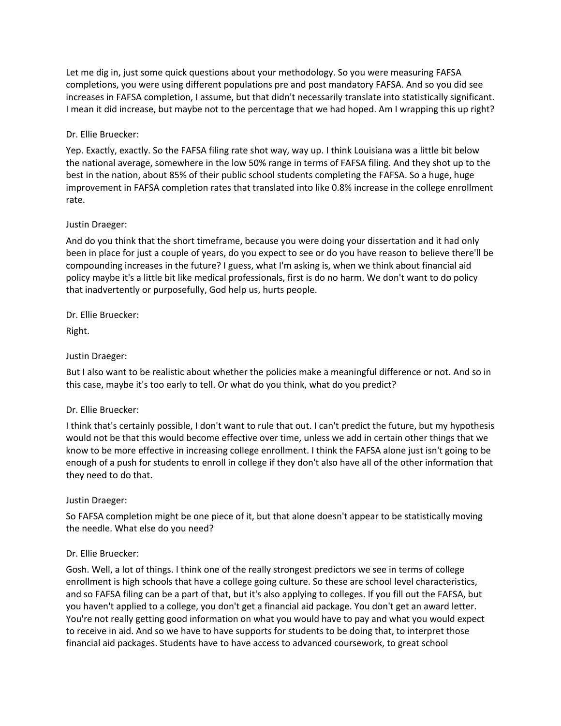Let me dig in, just some quick questions about your methodology. So you were measuring FAFSA completions, you were using different populations pre and post mandatory FAFSA. And so you did see increases in FAFSA completion, I assume, but that didn't necessarily translate into statistically significant. I mean it did increase, but maybe not to the percentage that we had hoped. Am I wrapping this up right?

## Dr. Ellie Bruecker:

Yep. Exactly, exactly. So the FAFSA filing rate shot way, way up. I think Louisiana was a little bit below the national average, somewhere in the low 50% range in terms of FAFSA filing. And they shot up to the best in the nation, about 85% of their public school students completing the FAFSA. So a huge, huge improvement in FAFSA completion rates that translated into like 0.8% increase in the college enrollment rate.

## Justin Draeger:

And do you think that the short timeframe, because you were doing your dissertation and it had only been in place for just a couple of years, do you expect to see or do you have reason to believe there'll be compounding increases in the future? I guess, what I'm asking is, when we think about financial aid policy maybe it's a little bit like medical professionals, first is do no harm. We don't want to do policy that inadvertently or purposefully, God help us, hurts people.

Dr. Ellie Bruecker:

Right.

## Justin Draeger:

But I also want to be realistic about whether the policies make a meaningful difference or not. And so in this case, maybe it's too early to tell. Or what do you think, what do you predict?

## Dr. Ellie Bruecker:

I think that's certainly possible, I don't want to rule that out. I can't predict the future, but my hypothesis would not be that this would become effective over time, unless we add in certain other things that we know to be more effective in increasing college enrollment. I think the FAFSA alone just isn't going to be enough of a push for students to enroll in college if they don't also have all of the other information that they need to do that.

## Justin Draeger:

So FAFSA completion might be one piece of it, but that alone doesn't appear to be statistically moving the needle. What else do you need?

## Dr. Ellie Bruecker:

Gosh. Well, a lot of things. I think one of the really strongest predictors we see in terms of college enrollment is high schools that have a college going culture. So these are school level characteristics, and so FAFSA filing can be a part of that, but it's also applying to colleges. If you fill out the FAFSA, but you haven't applied to a college, you don't get a financial aid package. You don't get an award letter. You're not really getting good information on what you would have to pay and what you would expect to receive in aid. And so we have to have supports for students to be doing that, to interpret those financial aid packages. Students have to have access to advanced coursework, to great school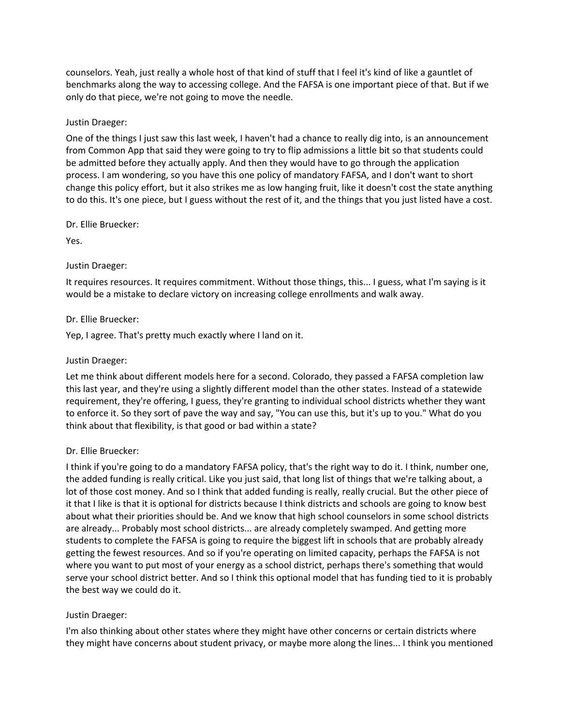counselors. Yeah, just really a whole host of that kind of stuff that I feel it's kind of like a gauntlet of benchmarks along the way to accessing college. And the FAFSA is one important piece of that. But if we only do that piece, we're not going to move the needle.

## Justin Draeger:

One of the things I just saw this last week, I haven't had a chance to really dig into, is an announcement from Common App that said they were going to try to flip admissions a little bit so that students could be admitted before they actually apply. And then they would have to go through the application process. I am wondering, so you have this one policy of mandatory FAFSA, and I don't want to short change this policy effort, but it also strikes me as low hanging fruit, like it doesn't cost the state anything to do this. It's one piece, but I guess without the rest of it, and the things that you just listed have a cost.

## Dr. Ellie Bruecker:

Yes.

## Justin Draeger:

It requires resources. It requires commitment. Without those things, this... I guess, what I'm saying is it would be a mistake to declare victory on increasing college enrollments and walk away.

## Dr. Ellie Bruecker:

Yep, I agree. That's pretty much exactly where I land on it.

## Justin Draeger:

Let me think about different models here for a second. Colorado, they passed a FAFSA completion law this last year, and they're using a slightly different model than the other states. Instead of a statewide requirement, they're offering, I guess, they're granting to individual school districts whether they want to enforce it. So they sort of pave the way and say, "You can use this, but it's up to you." What do you think about that flexibility, is that good or bad within a state?

## Dr. Ellie Bruecker:

I think if you're going to do a mandatory FAFSA policy, that's the right way to do it. I think, number one, the added funding is really critical. Like you just said, that long list of things that we're talking about, a lot of those cost money. And so I think that added funding is really, really crucial. But the other piece of it that I like is that it is optional for districts because I think districts and schools are going to know best about what their priorities should be. And we know that high school counselors in some school districts are already... Probably most school districts... are already completely swamped. And getting more students to complete the FAFSA is going to require the biggest lift in schools that are probably already getting the fewest resources. And so if you're operating on limited capacity, perhaps the FAFSA is not where you want to put most of your energy as a school district, perhaps there's something that would serve your school district better. And so I think this optional model that has funding tied to it is probably the best way we could do it.

# Justin Draeger:

I'm also thinking about other states where they might have other concerns or certain districts where they might have concerns about student privacy, or maybe more along the lines... I think you mentioned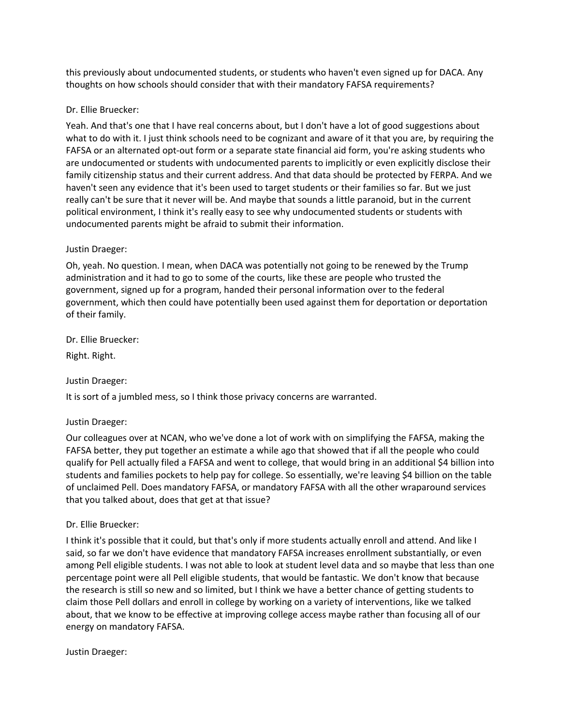this previously about undocumented students, or students who haven't even signed up for DACA. Any thoughts on how schools should consider that with their mandatory FAFSA requirements?

## Dr. Ellie Bruecker:

Yeah. And that's one that I have real concerns about, but I don't have a lot of good suggestions about what to do with it. I just think schools need to be cognizant and aware of it that you are, by requiring the FAFSA or an alternated opt-out form or a separate state financial aid form, you're asking students who are undocumented or students with undocumented parents to implicitly or even explicitly disclose their family citizenship status and their current address. And that data should be protected by FERPA. And we haven't seen any evidence that it's been used to target students or their families so far. But we just really can't be sure that it never will be. And maybe that sounds a little paranoid, but in the current political environment, I think it's really easy to see why undocumented students or students with undocumented parents might be afraid to submit their information.

## Justin Draeger:

Oh, yeah. No question. I mean, when DACA was potentially not going to be renewed by the Trump administration and it had to go to some of the courts, like these are people who trusted the government, signed up for a program, handed their personal information over to the federal government, which then could have potentially been used against them for deportation or deportation of their family.

Dr. Ellie Bruecker:

Right. Right.

Justin Draeger:

It is sort of a jumbled mess, so I think those privacy concerns are warranted.

## Justin Draeger:

Our colleagues over at NCAN, who we've done a lot of work with on simplifying the FAFSA, making the FAFSA better, they put together an estimate a while ago that showed that if all the people who could qualify for Pell actually filed a FAFSA and went to college, that would bring in an additional \$4 billion into students and families pockets to help pay for college. So essentially, we're leaving \$4 billion on the table of unclaimed Pell. Does mandatory FAFSA, or mandatory FAFSA with all the other wraparound services that you talked about, does that get at that issue?

# Dr. Ellie Bruecker:

I think it's possible that it could, but that's only if more students actually enroll and attend. And like I said, so far we don't have evidence that mandatory FAFSA increases enrollment substantially, or even among Pell eligible students. I was not able to look at student level data and so maybe that less than one percentage point were all Pell eligible students, that would be fantastic. We don't know that because the research is still so new and so limited, but I think we have a better chance of getting students to claim those Pell dollars and enroll in college by working on a variety of interventions, like we talked about, that we know to be effective at improving college access maybe rather than focusing all of our energy on mandatory FAFSA.

Justin Draeger: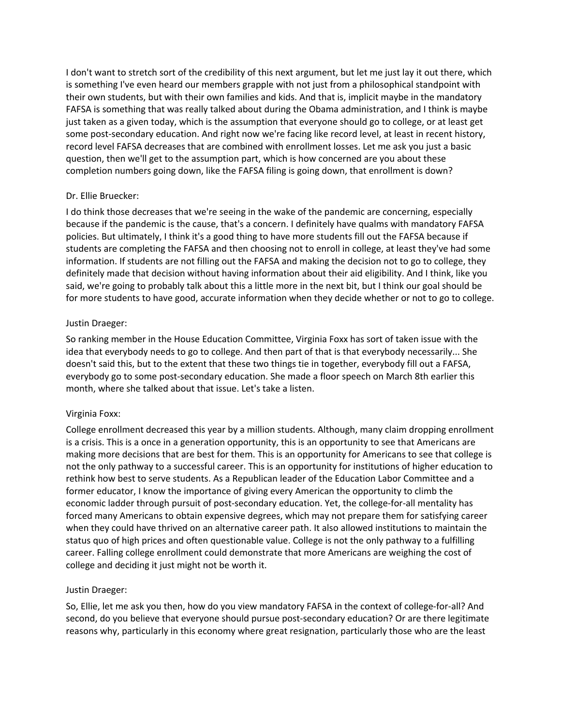I don't want to stretch sort of the credibility of this next argument, but let me just lay it out there, which is something I've even heard our members grapple with not just from a philosophical standpoint with their own students, but with their own families and kids. And that is, implicit maybe in the mandatory FAFSA is something that was really talked about during the Obama administration, and I think is maybe just taken as a given today, which is the assumption that everyone should go to college, or at least get some post-secondary education. And right now we're facing like record level, at least in recent history, record level FAFSA decreases that are combined with enrollment losses. Let me ask you just a basic question, then we'll get to the assumption part, which is how concerned are you about these completion numbers going down, like the FAFSA filing is going down, that enrollment is down?

## Dr. Ellie Bruecker:

I do think those decreases that we're seeing in the wake of the pandemic are concerning, especially because if the pandemic is the cause, that's a concern. I definitely have qualms with mandatory FAFSA policies. But ultimately, I think it's a good thing to have more students fill out the FAFSA because if students are completing the FAFSA and then choosing not to enroll in college, at least they've had some information. If students are not filling out the FAFSA and making the decision not to go to college, they definitely made that decision without having information about their aid eligibility. And I think, like you said, we're going to probably talk about this a little more in the next bit, but I think our goal should be for more students to have good, accurate information when they decide whether or not to go to college.

## Justin Draeger:

So ranking member in the House Education Committee, Virginia Foxx has sort of taken issue with the idea that everybody needs to go to college. And then part of that is that everybody necessarily... She doesn't said this, but to the extent that these two things tie in together, everybody fill out a FAFSA, everybody go to some post-secondary education. She made a floor speech on March 8th earlier this month, where she talked about that issue. Let's take a listen.

## Virginia Foxx:

College enrollment decreased this year by a million students. Although, many claim dropping enrollment is a crisis. This is a once in a generation opportunity, this is an opportunity to see that Americans are making more decisions that are best for them. This is an opportunity for Americans to see that college is not the only pathway to a successful career. This is an opportunity for institutions of higher education to rethink how best to serve students. As a Republican leader of the Education Labor Committee and a former educator, I know the importance of giving every American the opportunity to climb the economic ladder through pursuit of post-secondary education. Yet, the college-for-all mentality has forced many Americans to obtain expensive degrees, which may not prepare them for satisfying career when they could have thrived on an alternative career path. It also allowed institutions to maintain the status quo of high prices and often questionable value. College is not the only pathway to a fulfilling career. Falling college enrollment could demonstrate that more Americans are weighing the cost of college and deciding it just might not be worth it.

## Justin Draeger:

So, Ellie, let me ask you then, how do you view mandatory FAFSA in the context of college-for-all? And second, do you believe that everyone should pursue post-secondary education? Or are there legitimate reasons why, particularly in this economy where great resignation, particularly those who are the least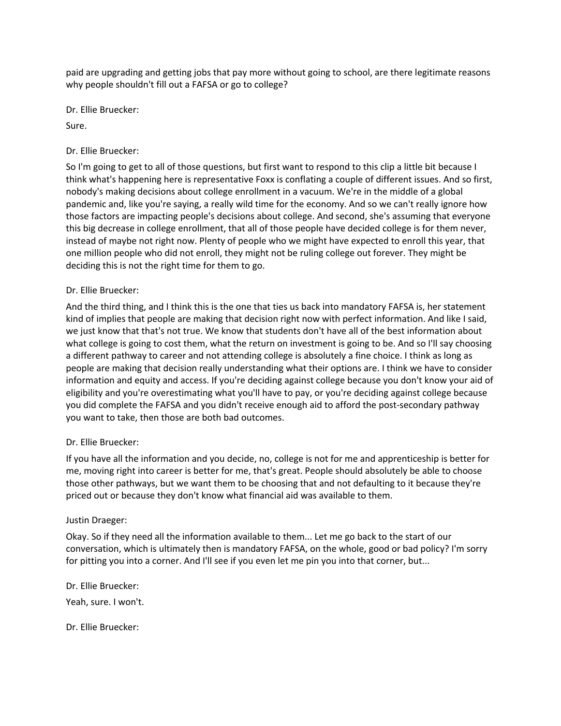paid are upgrading and getting jobs that pay more without going to school, are there legitimate reasons why people shouldn't fill out a FAFSA or go to college?

Dr. Ellie Bruecker:

Sure.

## Dr. Ellie Bruecker:

So I'm going to get to all of those questions, but first want to respond to this clip a little bit because I think what's happening here is representative Foxx is conflating a couple of different issues. And so first, nobody's making decisions about college enrollment in a vacuum. We're in the middle of a global pandemic and, like you're saying, a really wild time for the economy. And so we can't really ignore how those factors are impacting people's decisions about college. And second, she's assuming that everyone this big decrease in college enrollment, that all of those people have decided college is for them never, instead of maybe not right now. Plenty of people who we might have expected to enroll this year, that one million people who did not enroll, they might not be ruling college out forever. They might be deciding this is not the right time for them to go.

## Dr. Ellie Bruecker:

And the third thing, and I think this is the one that ties us back into mandatory FAFSA is, her statement kind of implies that people are making that decision right now with perfect information. And like I said, we just know that that's not true. We know that students don't have all of the best information about what college is going to cost them, what the return on investment is going to be. And so I'll say choosing a different pathway to career and not attending college is absolutely a fine choice. I think as long as people are making that decision really understanding what their options are. I think we have to consider information and equity and access. If you're deciding against college because you don't know your aid of eligibility and you're overestimating what you'll have to pay, or you're deciding against college because you did complete the FAFSA and you didn't receive enough aid to afford the post-secondary pathway you want to take, then those are both bad outcomes.

## Dr. Ellie Bruecker:

If you have all the information and you decide, no, college is not for me and apprenticeship is better for me, moving right into career is better for me, that's great. People should absolutely be able to choose those other pathways, but we want them to be choosing that and not defaulting to it because they're priced out or because they don't know what financial aid was available to them.

## Justin Draeger:

Okay. So if they need all the information available to them... Let me go back to the start of our conversation, which is ultimately then is mandatory FAFSA, on the whole, good or bad policy? I'm sorry for pitting you into a corner. And I'll see if you even let me pin you into that corner, but...

Dr. Ellie Bruecker: Yeah, sure. I won't.

Dr. Ellie Bruecker: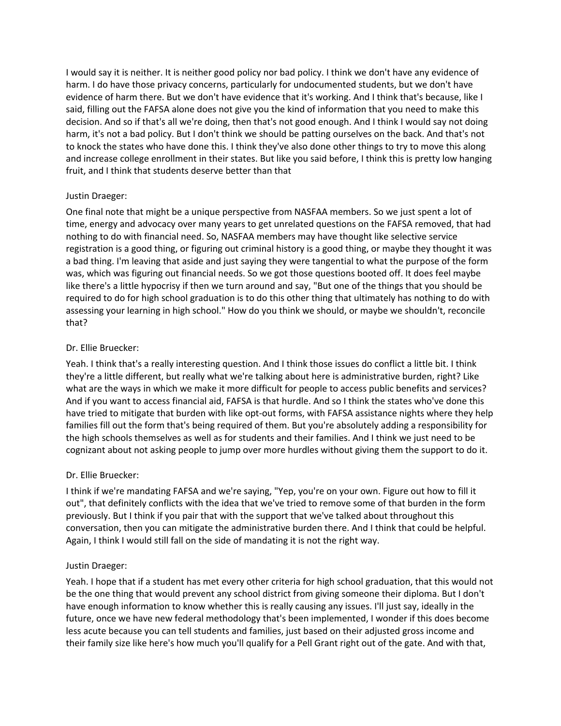I would say it is neither. It is neither good policy nor bad policy. I think we don't have any evidence of harm. I do have those privacy concerns, particularly for undocumented students, but we don't have evidence of harm there. But we don't have evidence that it's working. And I think that's because, like I said, filling out the FAFSA alone does not give you the kind of information that you need to make this decision. And so if that's all we're doing, then that's not good enough. And I think I would say not doing harm, it's not a bad policy. But I don't think we should be patting ourselves on the back. And that's not to knock the states who have done this. I think they've also done other things to try to move this along and increase college enrollment in their states. But like you said before, I think this is pretty low hanging fruit, and I think that students deserve better than that

## Justin Draeger:

One final note that might be a unique perspective from NASFAA members. So we just spent a lot of time, energy and advocacy over many years to get unrelated questions on the FAFSA removed, that had nothing to do with financial need. So, NASFAA members may have thought like selective service registration is a good thing, or figuring out criminal history is a good thing, or maybe they thought it was a bad thing. I'm leaving that aside and just saying they were tangential to what the purpose of the form was, which was figuring out financial needs. So we got those questions booted off. It does feel maybe like there's a little hypocrisy if then we turn around and say, "But one of the things that you should be required to do for high school graduation is to do this other thing that ultimately has nothing to do with assessing your learning in high school." How do you think we should, or maybe we shouldn't, reconcile that?

## Dr. Ellie Bruecker:

Yeah. I think that's a really interesting question. And I think those issues do conflict a little bit. I think they're a little different, but really what we're talking about here is administrative burden, right? Like what are the ways in which we make it more difficult for people to access public benefits and services? And if you want to access financial aid, FAFSA is that hurdle. And so I think the states who've done this have tried to mitigate that burden with like opt-out forms, with FAFSA assistance nights where they help families fill out the form that's being required of them. But you're absolutely adding a responsibility for the high schools themselves as well as for students and their families. And I think we just need to be cognizant about not asking people to jump over more hurdles without giving them the support to do it.

# Dr. Ellie Bruecker:

I think if we're mandating FAFSA and we're saying, "Yep, you're on your own. Figure out how to fill it out", that definitely conflicts with the idea that we've tried to remove some of that burden in the form previously. But I think if you pair that with the support that we've talked about throughout this conversation, then you can mitigate the administrative burden there. And I think that could be helpful. Again, I think I would still fall on the side of mandating it is not the right way.

# Justin Draeger:

Yeah. I hope that if a student has met every other criteria for high school graduation, that this would not be the one thing that would prevent any school district from giving someone their diploma. But I don't have enough information to know whether this is really causing any issues. I'll just say, ideally in the future, once we have new federal methodology that's been implemented, I wonder if this does become less acute because you can tell students and families, just based on their adjusted gross income and their family size like here's how much you'll qualify for a Pell Grant right out of the gate. And with that,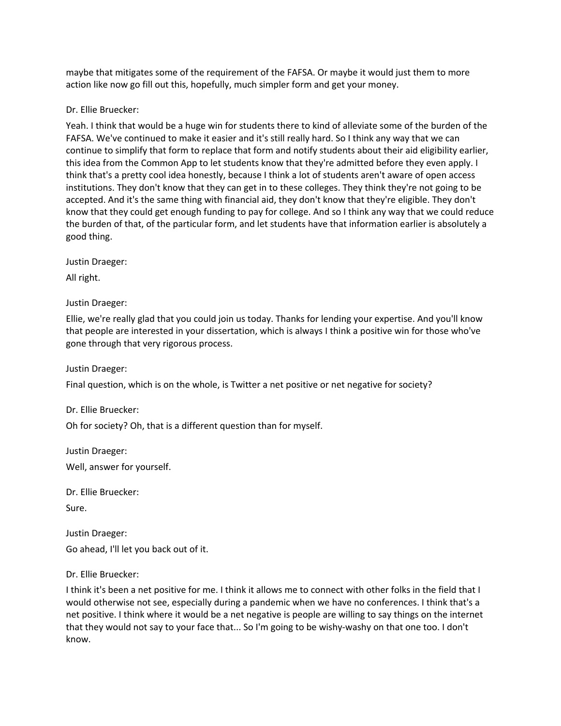maybe that mitigates some of the requirement of the FAFSA. Or maybe it would just them to more action like now go fill out this, hopefully, much simpler form and get your money.

Dr. Ellie Bruecker:

Yeah. I think that would be a huge win for students there to kind of alleviate some of the burden of the FAFSA. We've continued to make it easier and it's still really hard. So I think any way that we can continue to simplify that form to replace that form and notify students about their aid eligibility earlier, this idea from the Common App to let students know that they're admitted before they even apply. I think that's a pretty cool idea honestly, because I think a lot of students aren't aware of open access institutions. They don't know that they can get in to these colleges. They think they're not going to be accepted. And it's the same thing with financial aid, they don't know that they're eligible. They don't know that they could get enough funding to pay for college. And so I think any way that we could reduce the burden of that, of the particular form, and let students have that information earlier is absolutely a good thing.

Justin Draeger:

All right.

Justin Draeger:

Ellie, we're really glad that you could join us today. Thanks for lending your expertise. And you'll know that people are interested in your dissertation, which is always I think a positive win for those who've gone through that very rigorous process.

Justin Draeger:

Final question, which is on the whole, is Twitter a net positive or net negative for society?

Dr. Ellie Bruecker:

Oh for society? Oh, that is a different question than for myself.

Justin Draeger:

Well, answer for yourself.

Dr. Ellie Bruecker:

Sure.

Justin Draeger:

Go ahead, I'll let you back out of it.

Dr. Ellie Bruecker:

I think it's been a net positive for me. I think it allows me to connect with other folks in the field that I would otherwise not see, especially during a pandemic when we have no conferences. I think that's a net positive. I think where it would be a net negative is people are willing to say things on the internet that they would not say to your face that... So I'm going to be wishy-washy on that one too. I don't know.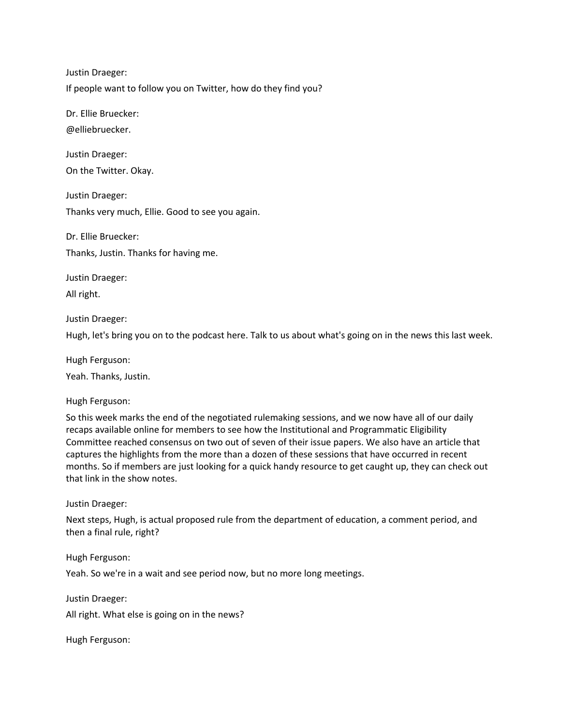Justin Draeger:

If people want to follow you on Twitter, how do they find you?

Dr. Ellie Bruecker: @elliebruecker.

Justin Draeger: On the Twitter. Okay.

Justin Draeger: Thanks very much, Ellie. Good to see you again.

Dr. Ellie Bruecker: Thanks, Justin. Thanks for having me.

Justin Draeger: All right.

Justin Draeger: Hugh, let's bring you on to the podcast here. Talk to us about what's going on in the news this last week.

Hugh Ferguson: Yeah. Thanks, Justin.

Hugh Ferguson:

So this week marks the end of the negotiated rulemaking sessions, and we now have all of our daily recaps available online for members to see how the Institutional and Programmatic Eligibility Committee reached consensus on two out of seven of their issue papers. We also have an article that captures the highlights from the more than a dozen of these sessions that have occurred in recent months. So if members are just looking for a quick handy resource to get caught up, they can check out that link in the show notes.

Justin Draeger:

Next steps, Hugh, is actual proposed rule from the department of education, a comment period, and then a final rule, right?

Hugh Ferguson:

Yeah. So we're in a wait and see period now, but no more long meetings.

Justin Draeger:

All right. What else is going on in the news?

Hugh Ferguson: